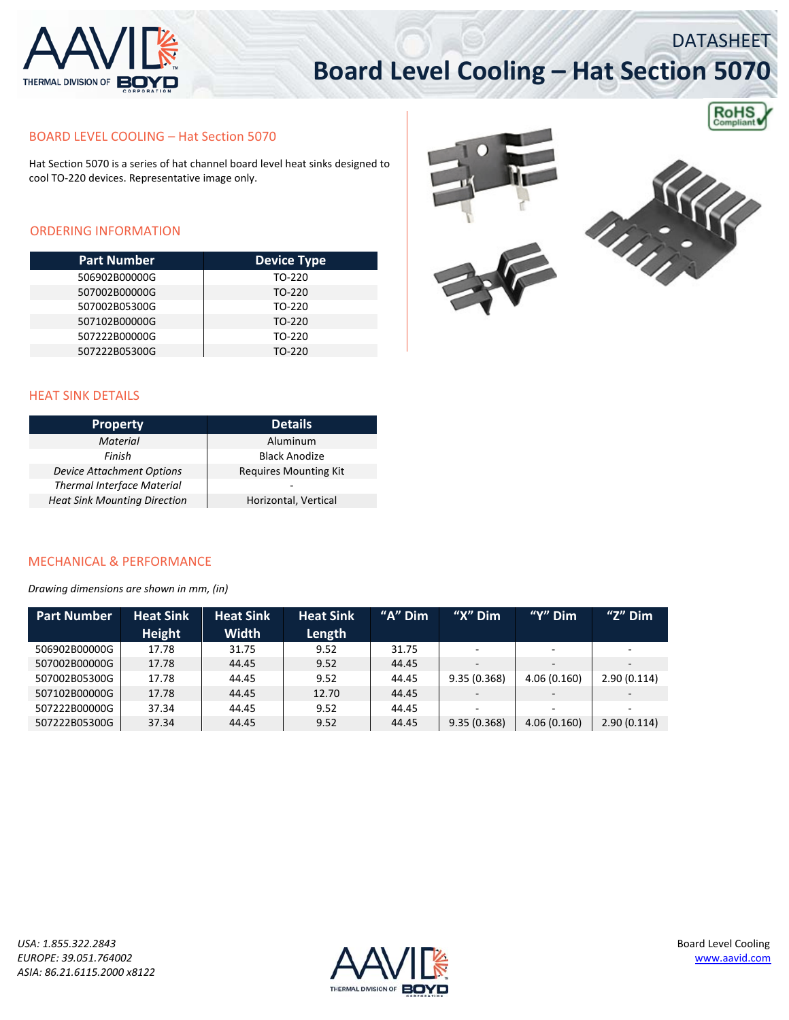

# **Board Level Cooling – Hat Section 5070**

**RoHS** 

DATASHEET

### BOARD LEVEL COOLING – Hat Section 5070

Hat Section 5070 is a series of hat channel board level heat sinks designed to cool TO‐220 devices. Representative image only.

### ORDERING INFORMATION

| <b>Part Number</b> | <b>Device Type</b> |  |  |  |
|--------------------|--------------------|--|--|--|
| 506902B00000G      | TO-220             |  |  |  |
| 507002B00000G      | TO-220             |  |  |  |
| 507002B05300G      | TO-220             |  |  |  |
| 507102B00000G      | TO-220             |  |  |  |
| 507222B00000G      | TO-220             |  |  |  |
| 507222B05300G      | TO-220             |  |  |  |





#### HEAT SINK DETAILS

| <b>Property</b>                     | <b>Details</b>               |  |  |  |
|-------------------------------------|------------------------------|--|--|--|
| <b>Material</b>                     | Aluminum                     |  |  |  |
| Finish                              | <b>Black Anodize</b>         |  |  |  |
| <b>Device Attachment Options</b>    | <b>Requires Mounting Kit</b> |  |  |  |
| <b>Thermal Interface Material</b>   | -                            |  |  |  |
| <b>Heat Sink Mounting Direction</b> | Horizontal, Vertical         |  |  |  |

#### MECHANICAL & PERFORMANCE

*Drawing dimensions are shown in mm, (in)*

| <b>Part Number</b> | <b>Heat Sink</b> | <b>Heat Sink</b> | <b>Heat Sink</b> | " $A$ " Dim | " $X$ " Dim              | " $Y$ " Dim              | " $Z$ " Dim              |
|--------------------|------------------|------------------|------------------|-------------|--------------------------|--------------------------|--------------------------|
|                    | <b>Height</b>    | <b>Width</b>     | Length           |             |                          |                          |                          |
| 506902B00000G      | 17.78            | 31.75            | 9.52             | 31.75       | ٠                        | $\overline{\phantom{a}}$ | $\overline{\phantom{a}}$ |
| 507002B00000G      | 17.78            | 44.45            | 9.52             | 44.45       | $\overline{\phantom{a}}$ | $\sim$                   | $\sim$                   |
| 507002B05300G      | 17.78            | 44.45            | 9.52             | 44.45       | 9.35(0.368)              | 4.06(0.160)              | 2.90(0.114)              |
| 507102B00000G      | 17.78            | 44.45            | 12.70            | 44.45       | $\overline{\phantom{a}}$ | $\overline{\phantom{0}}$ | $\overline{\phantom{a}}$ |
| 507222B00000G      | 37.34            | 44.45            | 9.52             | 44.45       | ٠                        | $\sim$                   | $\overline{\phantom{a}}$ |
| 507222B05300G      | 37.34            | 44.45            | 9.52             | 44.45       | 9.35(0.368)              | 4.06(0.160)              | 2.90(0.114)              |

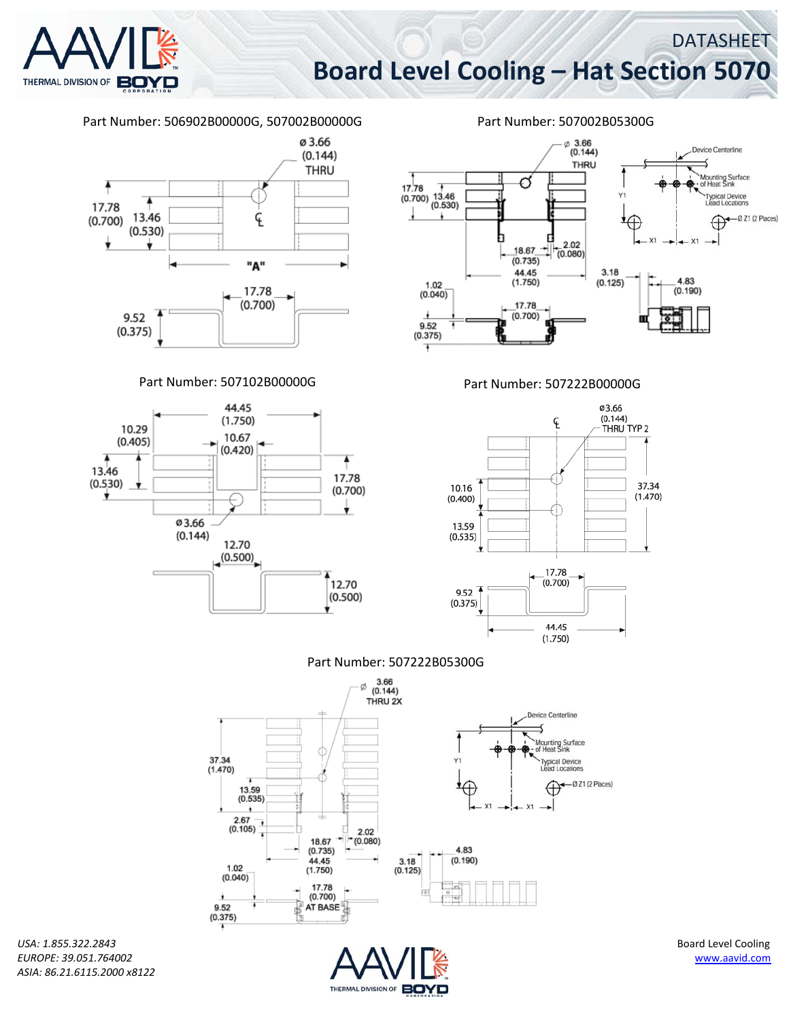DATASHEET

# **Board Level Cooling – Hat Section 5070**





*USA: 1.855.322.2843* Board Level Cooling *ASIA: 86.21.6115.2000 x8122*